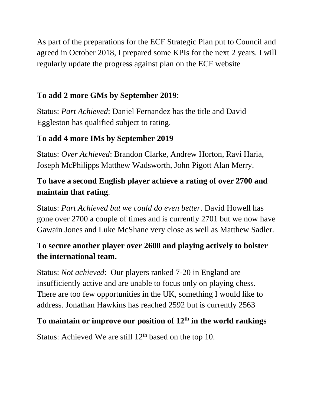As part of the preparations for the ECF Strategic Plan put to Council and agreed in October 2018, I prepared some KPIs for the next 2 years. I will regularly update the progress against plan on the ECF website

### **To add 2 more GMs by September 2019**:

Status: *Part Achieved*: Daniel Fernandez has the title and David Eggleston has qualified subject to rating.

### **To add 4 more IMs by September 2019**

Status: *Over Achieved*: Brandon Clarke, Andrew Horton, Ravi Haria, Joseph McPhilipps Matthew Wadsworth, John Pigott Alan Merry.

## **To have a second English player achieve a rating of over 2700 and maintain that rating**.

Status: *Part Achieved but we could do even better.* David Howell has gone over 2700 a couple of times and is currently 2701 but we now have Gawain Jones and Luke McShane very close as well as Matthew Sadler.

## **To secure another player over 2600 and playing actively to bolster the international team.**

Status: *Not achieved*: Our players ranked 7-20 in England are insufficiently active and are unable to focus only on playing chess. There are too few opportunities in the UK, something I would like to address. Jonathan Hawkins has reached 2592 but is currently 2563

### **To maintain or improve our position of 12th in the world rankings**

Status: Achieved We are still  $12<sup>th</sup>$  based on the top 10.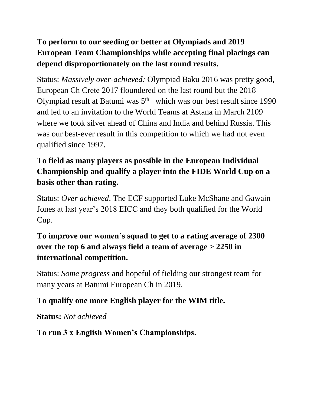# **To perform to our seeding or better at Olympiads and 2019 European Team Championships while accepting final placings can depend disproportionately on the last round results.**

Status: *Massively over-achieved:* Olympiad Baku 2016 was pretty good, European Ch Crete 2017 floundered on the last round but the 2018 Olympiad result at Batumi was  $5<sup>th</sup>$  which was our best result since 1990 and led to an invitation to the World Teams at Astana in March 2109 where we took silver ahead of China and India and behind Russia. This was our best-ever result in this competition to which we had not even qualified since 1997.

## **To field as many players as possible in the European Individual Championship and qualify a player into the FIDE World Cup on a basis other than rating.**

Status: *Over achieved*. The ECF supported Luke McShane and Gawain Jones at last year's 2018 EICC and they both qualified for the World Cup.

## **To improve our women's squad to get to a rating average of 2300 over the top 6 and always field a team of average > 2250 in international competition.**

Status: *Some progress* and hopeful of fielding our strongest team for many years at Batumi European Ch in 2019.

### **To qualify one more English player for the WIM title.**

**Status:** *Not achieved*

### **To run 3 x English Women's Championships.**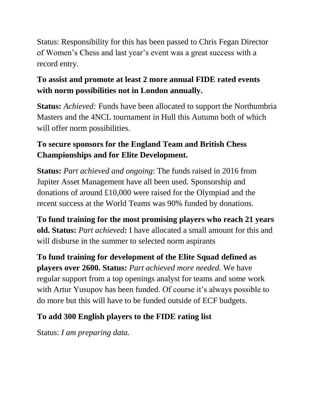Status: Responsibility for this has been passed to Chris Fegan Director of Women's Chess and last year's event was a great success with a record entry.

## **To assist and promote at least 2 more annual FIDE rated events with norm possibilities not in London annually.**

**Status:** *Achieved:* Funds have been allocated to support the Northumbria Masters and the 4NCL tournament in Hull this Autumn both of which will offer norm possibilities.

## **To secure sponsors for the England Team and British Chess Championships and for Elite Development.**

**Status:** *Part achieved and ongoing*: The funds raised in 2016 from Jupiter Asset Management have all been used. Sponsorship and donations of around £10,000 were raised for the Olympiad and the recent success at the World Teams was 90% funded by donations.

**To fund training for the most promising players who reach 21 years old. Status:** *Part achieved:* I have allocated a small amount for this and will disburse in the summer to selected norm aspirants

**To fund training for development of the Elite Squad defined as players over 2600. Status:** *Part achieved more needed.* We have regular support from a top openings analyst for teams and some work with Artur Yusupov has been funded. Of course it's always possible to do more but this will have to be funded outside of ECF budgets.

# **To add 300 English players to the FIDE rating list**

Status: *I am preparing data.*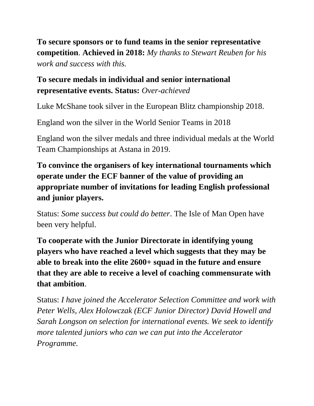**To secure sponsors or to fund teams in the senior representative competition**. **Achieved in 2018:** *My thanks to Stewart Reuben for his work and success with this.*

#### **To secure medals in individual and senior international representative events. Status:** *Over-achieved*

Luke McShane took silver in the European Blitz championship 2018.

England won the silver in the World Senior Teams in 2018

England won the silver medals and three individual medals at the World Team Championships at Astana in 2019.

**To convince the organisers of key international tournaments which operate under the ECF banner of the value of providing an appropriate number of invitations for leading English professional and junior players.**

Status: *Some success but could do better*. The Isle of Man Open have been very helpful.

**To cooperate with the Junior Directorate in identifying young players who have reached a level which suggests that they may be able to break into the elite 2600+ squad in the future and ensure that they are able to receive a level of coaching commensurate with that ambition**.

Status: *I have joined the Accelerator Selection Committee and work with Peter Wells, Alex Holowczak (ECF Junior Director) David Howell and Sarah Longson on selection for international events. We seek to identify more talented juniors who can we can put into the Accelerator Programme.*